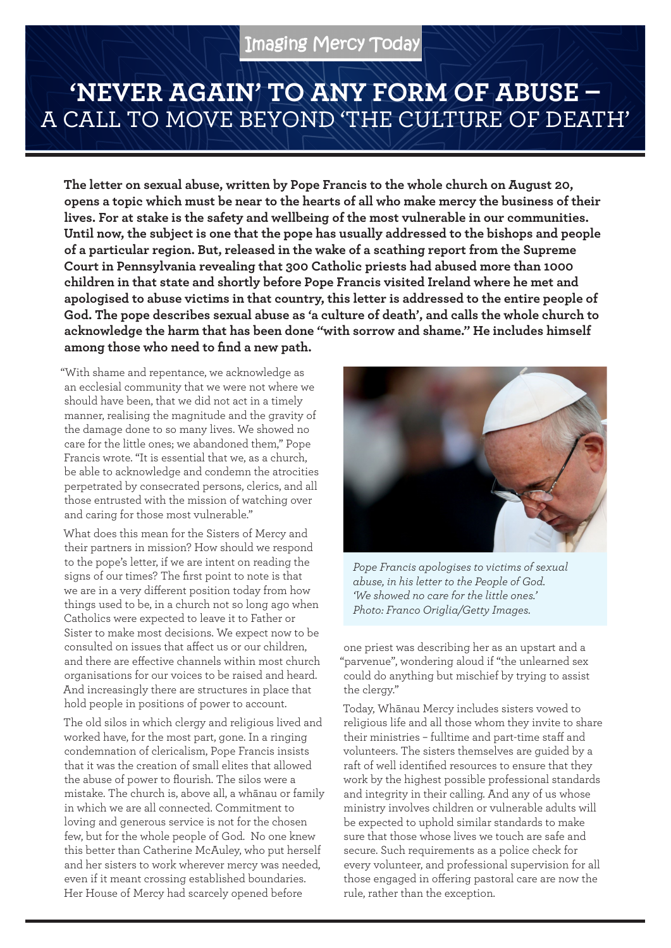## Imaging Mercy Today

## **'NEVER AGAIN' TO ANY FORM OF ABUSE –**  A CALL TO MOVE BEYOND 'THE CULTURE OF DEATH'

**The letter on sexual abuse, written by Pope Francis to the whole church on August 20, opens a topic which must be near to the hearts of all who make mercy the business of their lives. For at stake is the safety and wellbeing of the most vulnerable in our communities. Until now, the subject is one that the pope has usually addressed to the bishops and people of a particular region. But, released in the wake of a scathing report from the Supreme Court in Pennsylvania revealing that 300 Catholic priests had abused more than 1000 children in that state and shortly before Pope Francis visited Ireland where he met and apologised to abuse victims in that country, this letter is addressed to the entire people of God. The pope describes sexual abuse as 'a culture of death', and calls the whole church to acknowledge the harm that has been done "with sorrow and shame." He includes himself among those who need to find a new path.**

"With shame and repentance, we acknowledge as an ecclesial community that we were not where we should have been, that we did not act in a timely manner, realising the magnitude and the gravity of the damage done to so many lives. We showed no care for the little ones; we abandoned them," Pope Francis wrote. "It is essential that we, as a church, be able to acknowledge and condemn the atrocities perpetrated by consecrated persons, clerics, and all those entrusted with the mission of watching over and caring for those most vulnerable."

What does this mean for the Sisters of Mercy and their partners in mission? How should we respond to the pope's letter, if we are intent on reading the signs of our times? The first point to note is that we are in a very different position today from how things used to be, in a church not so long ago when Catholics were expected to leave it to Father or Sister to make most decisions. We expect now to be consulted on issues that affect us or our children, and there are effective channels within most church organisations for our voices to be raised and heard. And increasingly there are structures in place that hold people in positions of power to account.

The old silos in which clergy and religious lived and worked have, for the most part, gone. In a ringing condemnation of clericalism, Pope Francis insists that it was the creation of small elites that allowed the abuse of power to flourish. The silos were a mistake. The church is, above all, a whānau or family in which we are all connected. Commitment to loving and generous service is not for the chosen few, but for the whole people of God. No one knew this better than Catherine McAuley, who put herself and her sisters to work wherever mercy was needed, even if it meant crossing established boundaries. Her House of Mercy had scarcely opened before



*Pope Francis apologises to victims of sexual abuse, in his letter to the People of God. 'We showed no care for the little ones.' Photo: Franco Origlia/Getty Images.*

one priest was describing her as an upstart and a "parvenue", wondering aloud if "the unlearned sex could do anything but mischief by trying to assist the clergy."

Today, Whānau Mercy includes sisters vowed to religious life and all those whom they invite to share their ministries – fulltime and part-time staff and volunteers. The sisters themselves are guided by a raft of well identified resources to ensure that they work by the highest possible professional standards and integrity in their calling. And any of us whose ministry involves children or vulnerable adults will be expected to uphold similar standards to make sure that those whose lives we touch are safe and secure. Such requirements as a police check for every volunteer, and professional supervision for all those engaged in offering pastoral care are now the rule, rather than the exception.